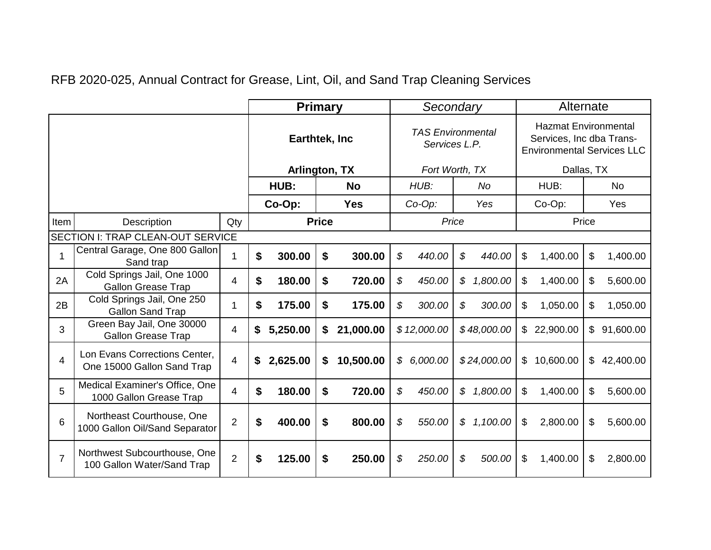RFB 2020-025, Annual Contract for Grease, Lint, Oil, and Sand Trap Cleaning Services

|                |                                                             |                |               | <b>Primary</b> |            |                                           |                | Secondary   |                                                                                              |             |                | Alternate |           |           |  |
|----------------|-------------------------------------------------------------|----------------|---------------|----------------|------------|-------------------------------------------|----------------|-------------|----------------------------------------------------------------------------------------------|-------------|----------------|-----------|-----------|-----------|--|
|                |                                                             |                | Earthtek, Inc |                |            | <b>TAS Environmental</b><br>Services L.P. |                |             | <b>Hazmat Environmental</b><br>Services, Inc dba Trans-<br><b>Environmental Services LLC</b> |             |                |           |           |           |  |
|                |                                                             |                | Arlington, TX |                |            |                                           | Fort Worth, TX |             |                                                                                              |             | Dallas, TX     |           |           |           |  |
|                |                                                             |                | HUB:          |                | <b>No</b>  |                                           |                | HUB:        | <b>No</b>                                                                                    |             | HUB:           |           | <b>No</b> |           |  |
|                |                                                             | Co-Op:         |               |                | <b>Yes</b> |                                           | $Co-Op$ :      | Yes         |                                                                                              | Co-Op:      |                | Yes       |           |           |  |
| Item           | Description<br>Qty                                          |                |               | <b>Price</b>   |            |                                           | Price          |             |                                                                                              | Price       |                |           |           |           |  |
|                | <b>SECTION I: TRAP CLEAN-OUT SERVICE</b>                    |                |               |                |            |                                           |                |             |                                                                                              |             |                |           |           |           |  |
| 1              | Central Garage, One 800 Gallon<br>Sand trap                 |                | \$            | 300.00         | \$         | 300.00                                    | \$             | 440.00      | \$                                                                                           | 440.00      | \$             | 1,400.00  | \$        | 1,400.00  |  |
| 2A             | Cold Springs Jail, One 1000<br><b>Gallon Grease Trap</b>    | $\overline{4}$ | \$            | 180.00         | \$         | 720.00                                    | \$             | 450.00      | \$                                                                                           | 1,800.00    | \$             | 1,400.00  | \$        | 5,600.00  |  |
| 2B             | Cold Springs Jail, One 250<br><b>Gallon Sand Trap</b>       |                | \$            | 175.00         | \$         | 175.00                                    | \$             | 300.00      | \$                                                                                           | 300.00      | \$             | 1,050.00  | \$        | 1,050.00  |  |
| 3              | Green Bay Jail, One 30000<br><b>Gallon Grease Trap</b>      | 4              | \$            | 5,250.00       | \$         | 21,000.00                                 |                | \$12,000.00 |                                                                                              | \$48,000.00 | $\mathbb{S}$   | 22,900.00 | \$        | 91,600.00 |  |
| $\overline{4}$ | Lon Evans Corrections Center,<br>One 15000 Gallon Sand Trap | $\overline{4}$ | \$            | 2,625.00       | \$         | 10,500.00                                 |                | \$6,000.00  |                                                                                              | \$24,000.00 | $\mathfrak{S}$ | 10,600.00 | \$        | 42,400.00 |  |
| 5              | Medical Examiner's Office, One<br>1000 Gallon Grease Trap   | $\overline{4}$ | \$            | 180.00         | \$         | 720.00                                    | \$             | 450.00      | \$                                                                                           | 1,800.00    | \$             | 1,400.00  | \$        | 5,600.00  |  |
| 6              | Northeast Courthouse, One<br>1000 Gallon Oil/Sand Separator | $\overline{2}$ | \$            | 400.00         | \$         | 800.00                                    | \$             | 550.00      | \$                                                                                           | 1,100.00    | \$             | 2,800.00  | \$        | 5,600.00  |  |
| $\overline{7}$ | Northwest Subcourthouse, One<br>100 Gallon Water/Sand Trap  | $\overline{2}$ | \$            | 125.00         | \$         | 250.00                                    | \$             | 250.00      | \$                                                                                           | 500.00      | \$             | 1,400.00  | \$        | 2,800.00  |  |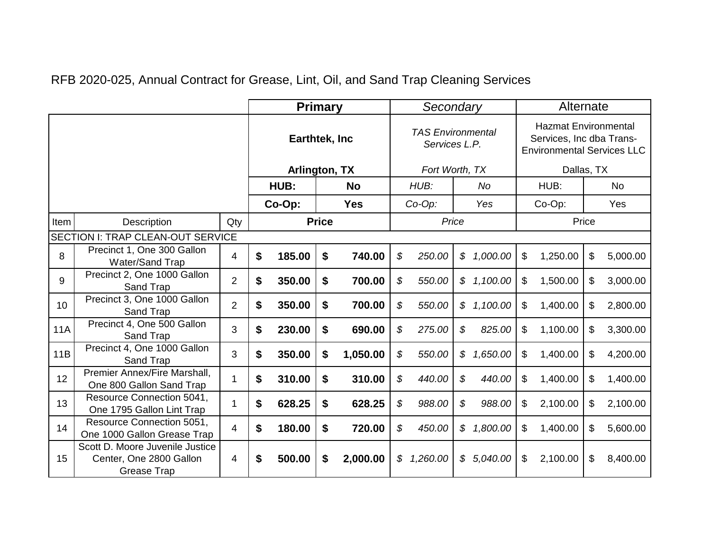| RFB 2020-025, Annual Contract for Grease, Lint, Oil, and Sand Trap Cleaning Services |  |  |
|--------------------------------------------------------------------------------------|--|--|
|--------------------------------------------------------------------------------------|--|--|

|                 |                                                                                  |                |                | <b>Primary</b> |              |                                           | Secondary                  |          |     |                                                                                              | Alternate      |          |           |          |  |
|-----------------|----------------------------------------------------------------------------------|----------------|----------------|----------------|--------------|-------------------------------------------|----------------------------|----------|-----|----------------------------------------------------------------------------------------------|----------------|----------|-----------|----------|--|
|                 |                                                                                  |                | Earthtek, Inc. |                |              | <b>TAS Environmental</b><br>Services L.P. |                            |          |     | <b>Hazmat Environmental</b><br>Services, Inc dba Trans-<br><b>Environmental Services LLC</b> |                |          |           |          |  |
|                 |                                                                                  |                | Arlington, TX  |                |              |                                           | Fort Worth, TX             |          |     |                                                                                              | Dallas, TX     |          |           |          |  |
|                 |                                                                                  |                | HUB:           |                | <b>No</b>    |                                           |                            | HUB:     |     | <b>No</b>                                                                                    | HUB:           |          | <b>No</b> |          |  |
|                 |                                                                                  | Co-Op:         |                |                | <b>Yes</b>   |                                           | $Co-Op$ :                  |          | Yes | Co-Op:                                                                                       |                | Yes      |           |          |  |
| Item            | Description                                                                      | Qty            |                |                | <b>Price</b> |                                           | Price                      |          |     |                                                                                              |                |          |           | Price    |  |
|                 | SECTION I: TRAP CLEAN-OUT SERVICE                                                |                |                |                |              |                                           |                            |          |     |                                                                                              |                |          |           |          |  |
| 8               | Precinct 1, One 300 Gallon<br>Water/Sand Trap                                    | 4              | \$             | 185.00         | \$           | 740.00                                    | \$                         | 250.00   | \$  | 1,000.00                                                                                     | \$             | 1,250.00 | \$        | 5,000.00 |  |
| 9               | Precinct 2, One 1000 Gallon<br>Sand Trap                                         | $\overline{2}$ | \$             | 350.00         | \$           | 700.00                                    | \$                         | 550.00   | \$  | 1,100.00                                                                                     | \$             | 1,500.00 | \$        | 3,000.00 |  |
| 10 <sup>1</sup> | Precinct 3, One 1000 Gallon<br>Sand Trap                                         | $\overline{2}$ | \$             | 350.00         | \$           | 700.00                                    | \$                         | 550.00   | \$  | 1,100.00                                                                                     | $\mathfrak{F}$ | 1,400.00 | \$        | 2,800.00 |  |
| <b>11A</b>      | Precinct 4, One 500 Gallon<br>Sand Trap                                          | 3              | \$             | 230.00         | \$           | 690.00                                    | \$                         | 275.00   | \$  | 825.00                                                                                       | \$             | 1,100.00 | \$        | 3,300.00 |  |
| 11B             | Precinct 4, One 1000 Gallon<br>Sand Trap                                         | 3              | \$             | 350.00         | \$           | 1,050.00                                  | \$                         | 550.00   | \$  | 1,650.00                                                                                     | \$             | 1,400.00 | \$        | 4,200.00 |  |
| 12              | Premier Annex/Fire Marshall.<br>One 800 Gallon Sand Trap                         | 1              | \$             | 310.00         | \$           | 310.00                                    | \$                         | 440.00   | \$  | 440.00                                                                                       | \$             | 1,400.00 | \$        | 1,400.00 |  |
| 13              | Resource Connection 5041,<br>One 1795 Gallon Lint Trap                           | 1              | \$             | 628.25         | \$           | 628.25                                    | $\boldsymbol{\mathcal{S}}$ | 988.00   | \$  | 988.00                                                                                       | \$             | 2,100.00 | \$        | 2,100.00 |  |
| 14              | Resource Connection 5051,<br>One 1000 Gallon Grease Trap                         | 4              | \$             | 180.00         | \$           | 720.00                                    | \$                         | 450.00   | \$  | 1,800.00                                                                                     | \$             | 1,400.00 | \$        | 5,600.00 |  |
| 15              | Scott D. Moore Juvenile Justice<br>Center, One 2800 Gallon<br><b>Grease Trap</b> | 4              | \$             | 500.00         | \$           | 2,000.00                                  | \$                         | 1,260.00 | \$  | 5,040.00                                                                                     | \$             | 2,100.00 | \$        | 8,400.00 |  |